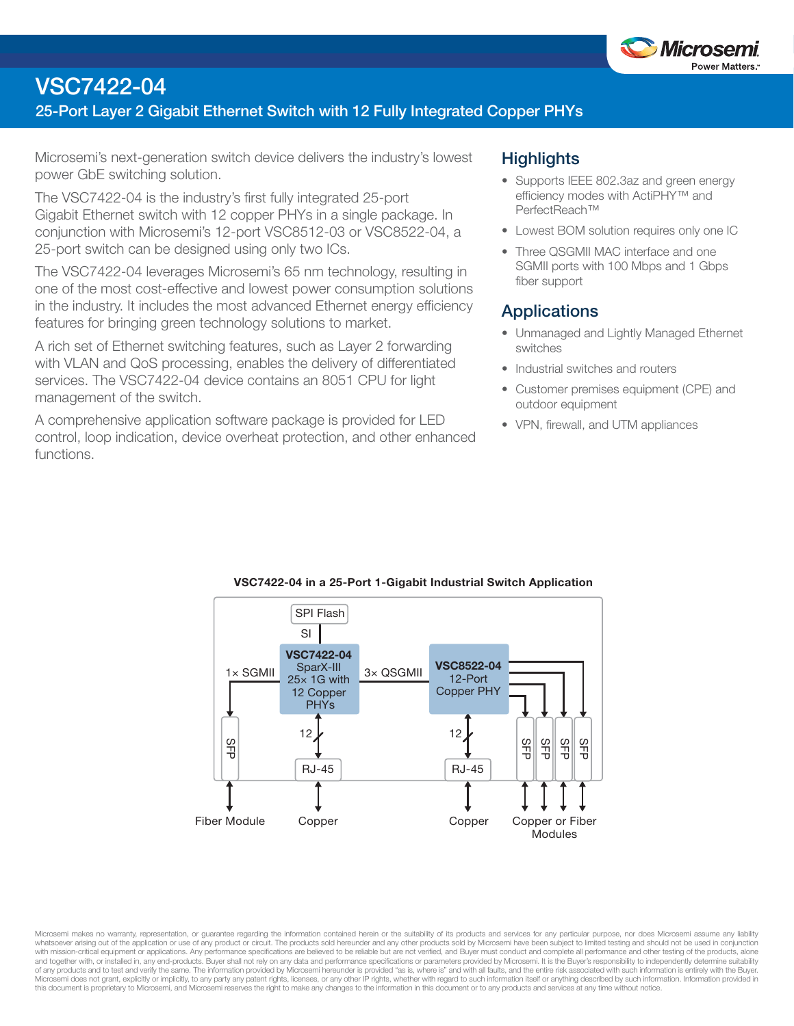

# **VSC7422-04**

### **25-Port Layer 2 Gigabit Ethernet Switch with 12 Fully Integrated Copper PHYs**

Microsemi's next-generation switch device delivers the industry's lowest power GbE switching solution.

The VSC7422-04 is the industry's first fully integrated 25-port Gigabit Ethernet switch with 12 copper PHYs in a single package. In conjunction with Microsemi's 12-port VSC8512-03 or VSC8522-04, a 25-port switch can be designed using only two ICs.

The VSC7422-04 leverages Microsemi's 65 nm technology, resulting in one of the most cost-effective and lowest power consumption solutions in the industry. It includes the most advanced Ethernet energy efficiency features for bringing green technology solutions to market.

A rich set of Ethernet switching features, such as Layer 2 forwarding with VLAN and QoS processing, enables the delivery of differentiated services. The VSC7422-04 device contains an 8051 CPU for light management of the switch.

A comprehensive application software package is provided for LED control, loop indication, device overheat protection, and other enhanced functions.

## **Highlights**

- Supports IEEE 802.3az and green energy efficiency modes with ActiPHY™ and PerfectReach™
- Lowest BOM solution requires only one IC
- Three QSGMII MAC interface and one SGMII ports with 100 Mbps and 1 Gbps fiber support

### **Applications**

- Unmanaged and Lightly Managed Ethernet switches
- Industrial switches and routers
- Customer premises equipment (CPE) and outdoor equipment
- VPN, firewall, and UTM appliances



#### **VSC7422-04 in a 25-Port 1-Gigabit Industrial Switch Application**

Microsemi makes no warranty, representation, or guarantee regarding the information contained herein or the suitability of its products and services for any particular purpose, nor does Microsemi assume any liability whatsoever arising out of the application or use of any product or circuit. The products sold hereunder and any other products sold by Microsemi have been subject to limited testing and should not be used in conjunction with mission-critical equipment or applications. Any performance specifications are believed to be reliable but are not verified, and Buyer must conduct and complete all performance and other testing of the products, alone of any products and to test and verify the same. The information provided by Microsemi hereunder is provided "as is, where is" and with all faults, and the entire risk associated with such information is entirely with the Microsemi does not grant, explicitly or implicitly, to any party any patent rights, licenses, or any other IP rights, whether with regard to such information itself or anything described by such information. Information pr this document is proprietary to Microsemi, and Microsemi reserves the right to make any changes to the information in this document or to any products and services at any time without notice.